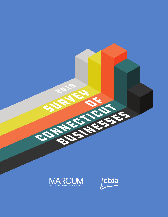

**2019** 

**SURVEY & READ** 

CONNECTICUT

OF

BUSINESSES

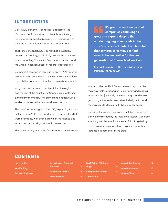## Introduction

CBIA's 2019 Survey of Connecticut Businesses—the 18th annual edition, made possible this year through the generous support of Marcum LLP—coincides with a period of tremendous opportunity for the state.

That sense of opportunity is somewhat clouded by ongoing uncertainty, particularly around the structural issues impacting Connecticut's economic recovery and the whiplash consequences of federal trade policies.

Connecticut companies continue to grow—70% reported profits in 2018—yet this year's survey shows their outlook for both the state and national economies is tempered.

Job growth in the state has not matched the region and the rest of the country, yet Connecticut employers, particularly manufacturers, cannot find enough skilled workers to offset retirements and meet demand.

The state's economy grew 1% in 2018, expanding for the first time since 2015. First quarter GDP numbers for 2019 were promising, with strong growth in the finance and insurance, retail trade, and healthcare sectors.

This year's survey was in the field from mid-June through

**It's great to see Connecticut companies continuing to grow and expand despite the unrelenting negative trends in the state's business climate. I am hopeful that companies continue to find ways to be innovative for the next generation of Connecticut workers.**

**Michael Brooder** | Hartford Managing Partner, Marcum LLP

late July, after the 2019 General Assembly passed two major workplace mandates—paid family and medical leave and the \$15 hourly minimum wage—and a twoyear budget that relied almost exclusively on tax and fee increases to close a multi-billion dollar deficit.

Based on the survey responses, small businesses were particularly rankled by the legislative session. Generally speaking, smaller employers feel unfairly targeted by those two mandates, which are expected to further increase business costs in the state.

## **CONTENTS**

| Introduction 1                      |  |  |  |  |  |
|-------------------------------------|--|--|--|--|--|
| Key Findings $\dots\dots\dots\dots$ |  |  |  |  |  |
| State of Business 3                 |  |  |  |  |  |

| <b>Investment, Economic</b> |  |  |  |  |  |  |  |  |
|-----------------------------|--|--|--|--|--|--|--|--|
| Outlook 4                   |  |  |  |  |  |  |  |  |
| Business Climate 6          |  |  |  |  |  |  |  |  |
| Policy Issues 8             |  |  |  |  |  |  |  |  |

**Paid FMLA, Minimum Wage . . . . . . . . . . . . . . . . . . 10 Hiring & Workforce . . . . . . 11 Conclusion . . . . . . . . . . . . . 13**

| About the Survey 14 |  |  |  |  |  |
|---------------------|--|--|--|--|--|
| About Marcum 15     |  |  |  |  |  |
| About CBIA 16       |  |  |  |  |  |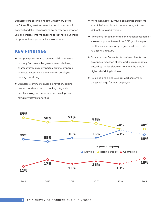Businesses are casting a hopeful, if not wary eye to the future. They see the state's tremendous economic potential and their responses to this survey not only offer valuable insights into the challenges they face, but areas of opportunity for policymakers to embrace.

## Key Findings

- f Company performance remains solid. Over twice as many firms see sales growth versus declines, over four times as many posted profits compared to losses. Investments, particularly in employee training, are strong.
- $\blacktriangleright$  Businesses continue to pursue innovation, adding products and services at a healthy rate, while new technology and research and development remain investment priorities.
- $\blacktriangleright$  More than half of surveyed companies expect the size of their workforce to remain static, with only 23% looking to add workers.
- $\blacktriangleright$  Projections for both the state and national economies show a drop in optimism from 2018. Just 11% expect the Connecticut economy to grow next year, while 73% see U.S. growth.
- **F** Concerns over Connecticut's business climate are growing, a reflection of new workplace mandates passed by the legislature in 2019 and the state's high cost of doing business.
- $\blacktriangleright$  Retaining and hiring younger workers remains a big challenge for most employers.



#### **2** 2019 SURVEY OF CONNECTICUT BUSINESSES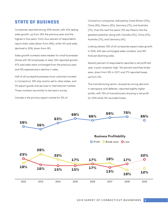## State of Business

Companies reported strong 2018 results, with 43% seeing sales growth, up from 36% the previous year and the highest in five years. Forty-four percent of respondents report static sales (down from 49%), while 13% said sales declined in 2018, down from 16%.

Sales growth numbers were weaker for small businesses (those with 100 employees or less): 35% reported growth, 47% said sales were unchanged from the previous year, and 19% experienced a decline in sales.

Half of all surveyed businesses have customers located in Connecticut, 39% ship and/or sell to other states, and 11% export goods and services to international markets. Those numbers are similar to last year's survey.

Canada is the primary export market for 15% of

Connecticut companies, followed by Great Britain (10%), China (9%), Mexico (9%), Germany (7%), and Australia (7%). Over the next five years, 15% say Mexico has the greatest potential, along with Canada (12%), China (11%), Australia (7%), and Germany (4%).

Looking ahead, 39% of all companies expect sales growth in 2019, 44% see unchanged sales numbers, and 18% forecast declining sales.

Seventy percent of respondents reported a net profit last year, a post-recession high. Ten percent said they broke even, down from 18% in 2017, and 17% reported losses, up from 13%.

The manufacturing sector—buoyed by strong demand in aerospace and defense—reported slightly higher profits, with 75% of manufacturers showing a net profit for 2018 while 12% recorded losses.

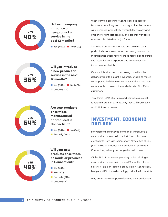

**Did your company introduce a new product or service in the past 12 months?**

**No Yes (40%) No (60%)** 



**Will you introduce a new product or service in the next 12 months?**

**No (42%)** No  $(42%)$  $\Box$  Unsure (21%)



**Are your products or services manufactured or produced in Connecticut?**

**No Yes (64%) No (14%)** Partially  $(21%)$ 



### **Will your new products or services be made or produced in Connecticut?**

- $\blacksquare$  Yes (48%)
- $\blacksquare$  No (27%)
- $\blacksquare$  Partially (21%)
- $\Box$  Unsure (4%)

What's driving profits for Connecticut businesses? Many are benefiting from a strong national economy, with increased productivity (through technology and efficiency), tight cost controls, and greater workforce retention also listed as major factors.

Shrinking Connecticut markets and growing costs particularly state taxes, labor, and energy—were the most significant loss factors. Trade tariffs also factored into losses for both exporters and companies that import raw materials.

One small business reported losing a multi-million dollar contract to a plant in Georgia, unable to match a competing bid that was 15% lower. Others said they were unable to pass on the added costs of tariffs to customers.

Two-thirds (66%) of all surveyed companies expect to return a profit in 2019, 12% say they will break even, and 22% forecast losses.

## Investment, Economic Outlook

Forty percent of surveyed companies introduced a new product or service in the last 12 months, down eight points from last year's survey. Almost two-thirds (64%) make or produce their products or services in Connecticut, virtually unchanged from last year.

Of the 36% of businesses planning on introducing a new product or service in the next 12 months, almost half (48%) plan on locating production in Connecticut. Last year, 49% planned on siting production in the state.

Why aren't more companies locating their production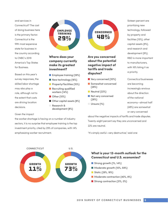and services in Connecticut? The cost of doing business here is the primary factor. Connecticut is the fifth most expensive state for business in the country according to CNBC's 2019 America's Top States for Business.

Based on this year's survey responses, the skilled labor shortage may also play a role, although not to the extent that costs are driving location decisions.

#### Given the impact

the worker shortage is having on a number of industry sectors, it is no surprise that employee training is the top investment priority, cited by 29% of companies, with 14% emphasizing worker recruitment.



### **Where does your company currently make its greatest investment?**

- Employee training (29%)
- New technology (16%)
- **n** Property/facilities (15%)
- **n** Recruiting qualified workers (14%)
- $\blacksquare$  Other (10%)
- $\blacksquare$  Other capital assets (8%)
- Research & development (8%)



- (28%)
- $\blacksquare$  Neutral (22%)
- Not very concerned (28%)
- Unsure (1%)

Sixteen percent are prioritizing new technology, followed by property and facilities (15%), other capital assets (8%), and research and development (8%). R&D is more important to manufacturers, with 16% listing it as a priority.

Connecticut businesses are becoming increasingly anxious about the direction of the national economy—almost half (48%) are somewhat or very concerned

about the negative impacts of tariffs and trade disputes. Twenty-eight percent say they are unconcerned and 22% are neutral.

"It's simply awful—very destructive," said one

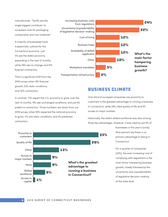manufacturer. "Tariffs are the single biggest contributor to increased costs for packaging components and raw materials."

A majority of businesses have a pessimistic outlook for the Connecticut economy—just 11% see the state's economy expanding in the next 12 months, while 29% see no change and 61% forecast contraction.



That's a significant shift from the 2018 survey when 18% forecast growth, 52% static conditions, and 30% contraction.

In contrast, 73% expect the U.S. economy to grow over the next 12 months, 18% see unchanged conditions, and just 8% predict a contraction. Those numbers are down from our 2018 survey, when 85% expected the national economy to grow, 11% saw static conditions, and 4% predicted contraction.



## Business Climate

One-third of surveyed companies say proximity to customers is the greatest advantage to running a business in Connecticut, while 29% cited quality of life and 9% access to major markets.

Historically, the state's skilled workforce was also among those key advantages. However, it was cited by just 6% of

> businesses in this year's survey. Nine percent say there is no primary advantage to being in Connecticut.

For a quarter of companies (24%), the ever increasing cost of complying with regulations is the main factor hampering business growth, closely followed by the uncertainty and unpredictability of legislative decision-making at the state level.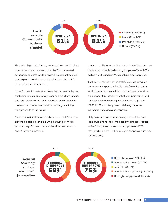

The state's high cost of living, business taxes, and the lack of skilled workers were each cited by 12% of surveyed companies as obstacles to growth. Five percent pointed to workplace mandates and 2% referenced the state's transportation infrastructure.

"If the Connecticut economy doesn't grow, we can't grow our business," said one survey respondent. "All of the taxes and regulations create an unfavorable environment for business and businesses are either leaving or shifting their growth to other states."

An alarming 81% of businesses believe the state's business climate is declining—that's a 20-point jump from last year's survey. Fourteen percent describe it as static and only 3% say it's improving.

Among small businesses, the percentage of those who say the business climate is declining jumps to 85%, with 10% calling it static and just 4% describing it as improving.

That pessimistic view of the state's business climate is not surprising, given the legislature's focus this year on workplace mandates. While many proposed mandates did not pass this session, two that did—paid family and medical leave and raising the minimum wage from \$10.10 to \$15—will likely have a defining impact on Connecticut's business environment.

Only 3% of surveyed businesses approve of the state legislature's handling of the economy and job creation, while 17% say they somewhat disapprove and 75% strongly disapprove—all-time high disapproval numbers for this survey.

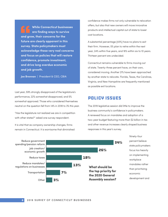**While Connecticut businesses are finding ways to survive and grow, their concerns for the future are clearly apparent in this survey. State policymakers must acknowledge these very real concerns and focus on policies that will restore confidence, promote investment, and drive long overdue economic and job growth.**

**Joe Brennan** | President & CEO, CBIA

Last year, 59% strongly disapproved of the legislature's performance, 22% somewhat disapproved, and 5% somewhat approved. Those who considered themselves neutral on the question fell from 14% in 2018 to 3% this year.

"Has the legislature not realized we are in competition with other states?" asked one survey respondent.

It is vital that as company ownership changes, firms remain in Connecticut. It is worrisome that diminished confidence makes firms not only vulnerable to relocation offers, but also that new owners will move innovative products and intellectual capital out of state to lower cost locations.

A substantial percentage (43%) have no plans to exit their firm. However, 5% plan to retire within the next year, 24% within five years, and 16% within six to 10 years. Thirteen percent are undecided.

Connecticut remains vulnerable to firms moving out of state. Twenty-three percent have, on their own, considered moving. Another 21% have been approached by another state to relocate. Florida, Texas, the Carolinas, Virginia, and New Hampshire are frequently mentioned as possible exit locations.

## Policy Issues

The 2019 legislative session did little to improve the business community's confidence in policymakers. A renewed focus on mandates and adoption of a two-year budget featuring more than \$2 billion in tax and other revenue increases clearly shaped business responses in this year's survey.

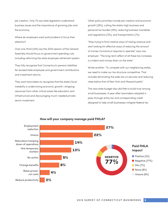job creation. Only 7% say state legislators understand business issues and the importance of growing jobs and the economy.

Where do employers want policymakers to focus their attention?

Over one-third (34%) say the 2020 session of the General Assembly should focus on government spending cuts, including reforming the state employee retirement system.

They fully recognize that Connecticut's pension liabilities far exceed state employee and government contributions and investment returns.

They want lawmakers to recognize that the state's fiscal instability is undermining economic growth—stripping resources from other critical areas like education and infrastructure and discouraging much-needed private sector investment.

Other policy priorities include job creation and economic growth (26%), cutting the state's high business and personal tax burden (18%), reducing business mandates and regulations (13%), and transportation (7%).

"Stop trying to find creative ways of raising revenue and start looking for effective ways of reducing the amount of money Connecticut requires to operate," says one employer. "The long-term effect of all these tax increases is a talent and money drain on the state."

Wrote another: "To compete with our neighboring states, we need to make our tax structure competitive. That includes eliminating the sales tax on services and reducing rates below that of New York and Massachusetts."

The new state budget also did little to build trust among small businesses. A year after lawmakers adopted a pass-through entity tax and corresponding credit designed to help small businesses mitigate federal tax



#### **How will your company manage paid FMLA?**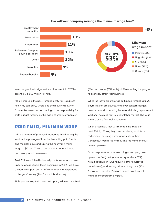

#### **How will your company manage the minimum wage hike?**

law changes, the budget reduced that credit to 87.5% essentially a \$53 million tax hike.

"The increase in the pass-through entity tax is a direct hit on my company," wrote one small business owner. "Lawmakers need to stop putting all the responsibility for state budget reforms on the backs of small companies."

## Paid FMLA, Minimum Wage

While a number of proposed mandates failed during the session, the passage of laws implementing paid family and medical leave and raising the hourly minimum wage to \$15 by 2023 are real concerns for employers, particularly small businesses.

Paid FMLA—which will allow all private sector employees up to 12 weeks of paid leave beginning in 2022—will have a negative impact on 77% of companies that responded to this year's survey (79% for small businesses).

Eight percent say it will have no impact, followed by mixed

(7%), and unsure (6%), with just 2% expecting the program to positively affect their business.

While the leave program will be funded through a 0.5% payroll tax on employees, employer concerns largely revolve around scheduling issues and finding replacement workers—no small feat in a tight labor market. The issue is more acute for small businesses.

When asked how they will manage the impact of paid FMLA, 27% say they are considering workforce reductions—pursuing automation, cutting their Connecticut workforce, or reducing the number of full time employees.

Other responses include relocating or ramping down operations (14%), hiring temporary workers (13%), no mitigation plan (9%), reducing other employee benefits (8%), and raising prices/cutting costs (4%). Almost one-quarter (22%) are unsure how they will manage the program's impact.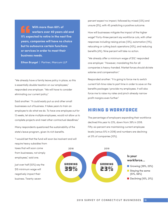**With more than 60% of workers over 40 years old and 11% expected to retire in the next five years, companies will have no choice but to outsource certain functions or services in order to meet their business needs.**

**Ethan Brysgel** | Partner, Marcum LLP

"We already have a family leave policy in place, so this is essentially double taxation on our employees," responded one employer. "We will have to consider eliminating our current policy."

Said another: "It could easily put us and other small businesses out of business. It takes years to train an employee to do what we do. To have one employee out for 12 weeks, let alone multiple employees, would not allow us to complete projects and meet other contractual deadlines."

Many respondents questioned the sustainability of the state's leave program, given its rich benefits.

"I would bet that the fund will soon be insolvent and will require heavy subsidies from

taxes that will soon come from businesses, not simply employees," said one.

Just over half (53%) say the \$15 minimum wage will negatively impact their business. Twenty-seven

percent expect no impact, followed by mixed (12%) and unsure (5%), with 4% predicting a positive outcome.

How will businesses mitigate the impact of the higher wage? Forty-three percent say workforce cuts, with other responses including raising prices (13%), automation (11%), relocating or cutting back operations (10%), and reducing benefits (4%). Nine percent will take no action.

"We already offer a minimum wage of \$15," responded one employer. "However, mandating this for all companies is heavy-handed. Market forces should dictate salaries and compensation."

Responded another: "It is going to force me to switch current full-time roles to part time in order to save on the benefits packages I provide my employees. It will also force me to raise my rates and pinch already narrow profit margins even further."

## Hiring & Workforce

The percentage of employers expanding their workforce declined this year to 23%, down from 39% in 2018. Fifty-six percent are maintaining current employee levels (versus 51% in 2018) and numbers are declining at 21% of companies (10%).

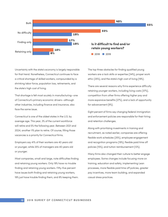

Uncertainty with the state's economy is largely responsible for that trend. Nonetheless, Connecticut continues to face a critical shortage of skilled workers, compounded by a shrinking labor force, population loss, retirements, and the state's high cost of living.

That shortage is felt most acutely in manufacturing—one of Connecticut's primary economic drivers—although other industries, including finance and insurance, also face the same issue.

Connecticut is one of the oldest states in the U.S. by average age. This year, 3% of the current workforce will retire and 5% the following year. Between 2021 and 2024, another 11% plan to retire. Of course, filling those vacancies is a priority for Connecticut firms.

Employers say 41% of their workers are 40 years old or younger, while 25% of managers are 40 years old or younger.

Most companies, small and large, note difficulties finding and retaining young workers. Only 19% have no trouble finding and retaining young workers. Fifty-five percent have issues both finding and retaining young workers, 19% just have trouble finding them, and 8% keeping them.

The top three obstacles for finding qualified young workers are a lack skills or expertise (34%), proper work ethic (25%), and the state's high cost of living (19%).

There are several reasons why firms experience difficulty retaining younger workers, including living costs (37%), competition from other firms offering higher pay and more expansive benefits (27%), and a lack of opportunity for advancement (9%).

Eight percent of firms say changing federal immigration and enforcement policies are responsible for their hiring and retention challenges.

Along with prioritizing investments in training and recruitment, as noted earlier, companies are offering flexible work schedules (25%), employee engagement and recognition programs (19%), flexible paid time off policies (15%), and tuition reimbursement (12%).

Many firms also changed their culture to better engage employees. Some changes include focusing more on training, education and safety, implementing Lean processes, more flexible paid time off policies, greater pay incentives, more team building, and expanded casual dress practices.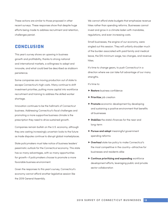These actions are similar to those proposed in other recent surveys. These responses show that despite huge efforts being made to address recruitment and retention, challenges persist.

## Conclusion

This year's survey shows an upswing in business growth and profitability, thanks to strong national and international markets, a willingness to adapt and innovate, and what could best be described as stubborn persistence.

Some companies are moving production out of state to escape Connecticut's high costs. Many continue to shift investment priorities, putting more capital into workforce recruitment and training to address the skilled worker shortage.

Innovation continues to be the hallmark of Connecticut business. Addressing Connecticut's fiscal challenges and promoting a more supportive business climate is the prescription they need to drive sustained growth.

Companies remain bullish on the U.S. economy, although they are casting increasingly uncertain looks to the future as trade disputes continue to disrupt global marketplaces.

State policymakers must take notice of business leaders' pessimistic outlook for the Connecticut economy. This state has so many advantages, with so many opportunities for growth—if policymakers choose to promote a more favorable business environment.

Given the responses to this year's survey, Connecticut's economy cannot afford another legislative session like the 2019 General Assembly.

We cannot afford state budgets that emphasize revenue hikes rather than spending reforms. Businesses cannot invest and grow in a climate laden with mandates, regulations, and ever-increasing costs.

Small businesses, the engine of our economy, were singled out this session. They will unfairly shoulder much of the burden associated with paid family and medical leave, the \$15 minimum wage, tax changes, and revenue hikes.

It's time to change gears, to push Connecticut in a direction where we can take full advantage of our many strengths.

It's time to:

- **Restore** business confidence
- **Prioritize** job creation
- **Promote** economic development by developing and sustaining a positive environment that benefits all businesses
- **F** Stabilize the state's finances for the near and long-term
- **Pursue and adopt** meaningful government spending reforms
- **P** Overhaul state tax policy to make Connecticut's the most competitive in the country—attractive for businesses and residents alike
- **F** Continue prioritizing and expanding workforce development efforts, leveraging public and private sector collaboration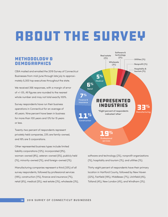# About the Survey

## Methodology & Demographics

CBIA mailed and emailed the 2019 Survey of Connecticut Businesses from mid-June through late July to approximately 5,300 top executives throughout the state.

We received 356 responses, with a margin of error of +/-5%. All figures are rounded to the nearest whole number and may not total exactly 100%.

Survey respondents have run their business operations in Connecticut for an average of 45 years. Nine percent have been in business for more than 100 years and 13% for 15 years or less.

Twenty-two percent of respondents represent privately held companies, 23% are family-owned, and 16% are S corporations.

Other represented business types include limited liability corporations (12%), incorporated (9%), woman-owned (8%), veteran-owned (5%), publicly held (1%), minority-owned (1%), and foreign-owned (1%).

Manufacturing companies represent a third (33%) of all survey respondents, followed by professional services (19%), construction (11%), finance and insurance (7%), retail (6%), medical (5%), real estate (3%), wholesale (3%),



software and technology (2%), nonprofit organizations (1%), hospitality and tourism (1%), and utilities (1%).

Thirty-eight percent of respondents have their primary location in Hartford County, followed by New Haven (22%), Fairfield (19%), Middlesex (7%), Litchfield (4%), Tolland (4%), New London (4%), and Windham (3%).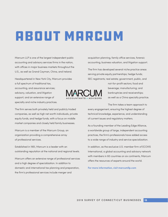# About Marcum

Marcum LLP is one of the largest independent public accounting and advisory services firms in the nation, with offices in major business markets throughout the U.S., as well as Grand Cayman, China, and Ireland.

Headquartered in New York City, Marcum provides a full spectrum of traditional tax, accounting, and assurance services; advisory, valuation, and litigation support; and an extensive range of specialty and niche industry practices.

The firm serves both privately held and publicly traded companies, as well as high net worth individuals, private equity funds, and hedge funds, with a focus on middle market companies and closely held family businesses.

Marcum is a member of the Marcum Group, an organization providing a comprehensive array of professional services.

Established in 1951, Marcum is a leader with an outstanding reputation at the national and regional levels.

Marcum offers an extensive range of professional services and a high degree of specialization. In addition to domestic and international tax planning and preparation, the firm's professional services include merger and

acquisition planning, family office services, forensic accounting, business valuation, and litigation support.

The firm has developed several niche practice areas serving private equity partnerships; hedge funds; SEC registrants; real estate; government, public, and

> not-for-profit sectors; food and beverage; manufacturing; and bankruptcies and receiverships; as well as a China specialty practice.

The firm takes a team approach to

every engagement, ensuring the highest degree of technical knowledge, experience, and understanding of current issues and regulatory matters.

As a founding member of the Leading Edge Alliance, a worldwide group of large, independent accounting practices, the firm's professionals have added access to a wide range of industry and service specialization.

In addition, as the exclusive U.S. member firm of ECOVIS International, a global accounting and advisory network with members in 60 countries on six continents, Marcum offers the resources of experts around the world.

**For more information, visit marcumllp.com**

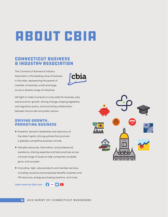# About CBIA

## Connecticut Business & Industry Association

The Connecticut Business & Industry Association is the leading voice of business in the state, representing thousands of member companies, small and large, across a diverse range of industries.



We fight to make Connecticut a top state for business, jobs, and economic growth: driving change, shaping legislative and regulatory policy, and promoting collaboration between the private and public sectors.

### Driving Growth, Promoting Business

- **Powerful, dynamic leadership and advocacy at** the state Capitol, driving policies that promote a globally competitive business climate.
- $\blacktriangleright$  Valuable resources, information, and professional assistance, sharing expertise and best practices across a broad range of issues to help companies compete, grow, and succeed.
- $\blacktriangleright$  Innovative, high-value products and member services, including insurance and employee benefits, business and HR resources, energy purchasing solutions, and more.

**Learn more at cbia.com**